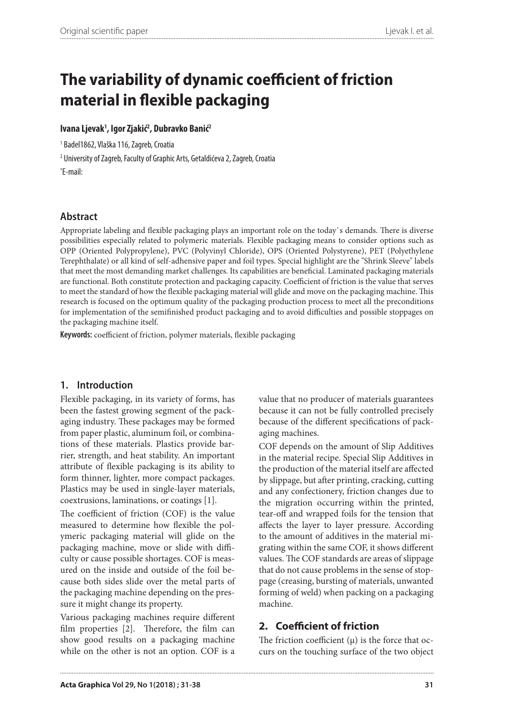# **The variability of dynamic coefficient of friction material in flexible packaging**

#### **Ivana Ljevak1 , Igor Zjakić2 , Dubravko Banić2**

1 Badel1862, Vlaška 116, Zagreb, Croatia

2 University of Zagreb, Faculty of Graphic Arts, Getaldićeva 2, Zagreb, Croatia

\* E-mail:

# **Abstract**

Appropriate labeling and flexible packaging plays an important role on the today`s demands. There is diverse possibilities especially related to polymeric materials. Flexible packaging means to consider options such as OPP (Oriented Polypropylene), PVC (Polyvinyl Chloride), OPS (Oriented Polystyrene), PET (Polyethylene Terephthalate) or all kind of self-adhensive paper and foil types. Special highlight are the "Shrink Sleeve" labels that meet the most demanding market challenges. Its capabilities are beneficial. Laminated packaging materials are functional. Both constitute protection and packaging capacity. Coefficient of friction is the value that serves to meet the standard of how the flexible packaging material will glide and move on the packaging machine. This research is focused on the optimum quality of the packaging production process to meet all the preconditions for implementation of the semifinished product packaging and to avoid difficulties and possible stoppages on the packaging machine itself.

**Keywords:** coefficient of friction, polymer materials, flexible packaging

# **1. Introduction**

Flexible packaging, in its variety of forms, has been the fastest growing segment of the packaging industry. These packages may be formed from paper plastic, aluminum foil, or combinations of these materials. Plastics provide barrier, strength, and heat stability. An important attribute of flexible packaging is its ability to form thinner, lighter, more compact packages. Plastics may be used in single-layer materials, coextrusions, laminations, or coatings [1].

The coefficient of friction (COF) is the value measured to determine how flexible the polymeric packaging material will glide on the packaging machine, move or slide with difficulty or cause possible shortages. COF is measured on the inside and outside of the foil because both sides slide over the metal parts of the packaging machine depending on the pressure it might change its property.

Various packaging machines require different film properties [2]. Therefore, the film can show good results on a packaging machine while on the other is not an option. COF is a

value that no producer of materials guarantees because it can not be fully controlled precisely because of the different specifications of packaging machines.

COF depends on the amount of Slip Additives in the material recipe. Special Slip Additives in the production of the material itself are affected by slippage, but after printing, cracking, cutting and any confectionery, friction changes due to the migration occurring within the printed, tear-off and wrapped foils for the tension that affects the layer to layer pressure. According to the amount of additives in the material migrating within the same COF, it shows different values. The COF standards are areas of slippage that do not cause problems in the sense of stoppage (creasing, bursting of materials, unwanted forming of weld) when packing on a packaging machine.

# **2. Coefficient of friction**

The friction coefficient  $(\mu)$  is the force that occurs on the touching surface of the two object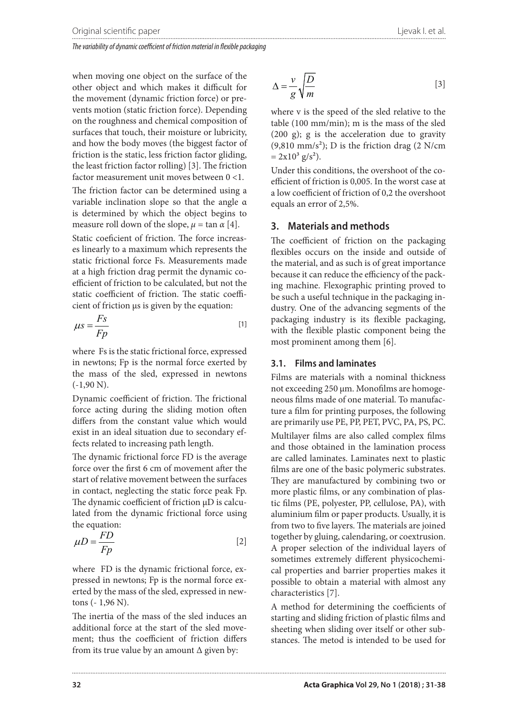when moving one object on the surface of the other object and which makes it difficult for the movement (dynamic friction force) or prevents motion (static friction force). Depending on the roughness and chemical composition of surfaces that touch, their moisture or lubricity, and how the body moves (the biggest factor of friction is the static, less friction factor gliding, the least friction factor rolling) [3]. The friction factor measurement unit moves between 0 <1. The friction factor can be determined using a variable inclination slope so that the angle α is determined by which the object begins to measure roll down of the slope,  $\mu = \tan \alpha$  [4]. Static coeficient of friction. The force increases linearly to a maximum which represents the static frictional force Fs. Measurements made at a high friction drag permit the dynamic coefficient of friction to be calculated, but not the static coefficient of friction. The static coefficient of friction μs is given by the equation:

$$
\mu s = \frac{F s}{F p} \tag{11}
$$

where Fs is the static frictional force, expressed in newtons; Fp is the normal force exerted by the mass of the sled, expressed in newtons  $(-1,90 \text{ N}).$ 

Dynamic coefficient of friction. The frictional force acting during the sliding motion often differs from the constant value which would exist in an ideal situation due to secondary effects related to increasing path length.

The dynamic frictional force FD is the average force over the first 6 cm of movement after the start of relative movement between the surfaces in contact, neglecting the static force peak Fp. The dynamic coefficient of friction μD is calculated from the dynamic frictional force using the equation:

$$
\mu D = \frac{FD}{Fp} \tag{2}
$$

where FD is the dynamic frictional force, expressed in newtons; Fp is the normal force exerted by the mass of the sled, expressed in newtons (- 1,96 N).

The inertia of the mass of the sled induces an additional force at the start of the sled movement; thus the coefficient of friction differs from its true value by an amount  $\Delta$  given by:

$$
\Delta = \frac{v}{g} \sqrt{\frac{D}{m}} \tag{3}
$$

where v is the speed of the sled relative to the table (100 mm/min); m is the mass of the sled (200 g); g is the acceleration due to gravity  $(9,810 \text{ mm/s}^2)$ ; D is the friction drag  $(2 \text{ N/cm})$  $= 2x10^3$  g/s<sup>2</sup>).

Under this conditions, the overshoot of the coefficient of friction is 0,005. In the worst case at a low coefficient of friction of 0,2 the overshoot equals an error of 2,5%.

#### **3. Materials and methods**

The coefficient of friction on the packaging flexibles occurs on the inside and outside of the material, and as such is of great importance because it can reduce the efficiency of the packing machine. Flexographic printing proved to be such a useful technique in the packaging industry. One of the advancing segments of the packaging industry is its flexible packaging, with the flexible plastic component being the most prominent among them [6].

#### **3.1. Films and laminates**

Films are materials with a nominal thickness not exceeding 250 µm. Monofilms are homogeneous films made of one material. To manufacture a film for printing purposes, the following are primarily use PE, PP, PET, PVC, PA, PS, PC. Multilayer films are also called complex films and those obtained in the lamination process are called laminates. Laminates next to plastic films are one of the basic polymeric substrates. They are manufactured by combining two or more plastic films, or any combination of plastic films (PE, polyester, PP, cellulose, PA), with aluminium film or paper products. Usually, it is from two to five layers. The materials are joined together by gluing, calendaring, or coextrusion. A proper selection of the individual layers of sometimes extremely different physicochemical properties and barrier properties makes it possible to obtain a material with almost any characteristics [7].

A method for determining the coefficients of starting and sliding friction of plastic films and sheeting when sliding over itself or other substances. The metod is intended to be used for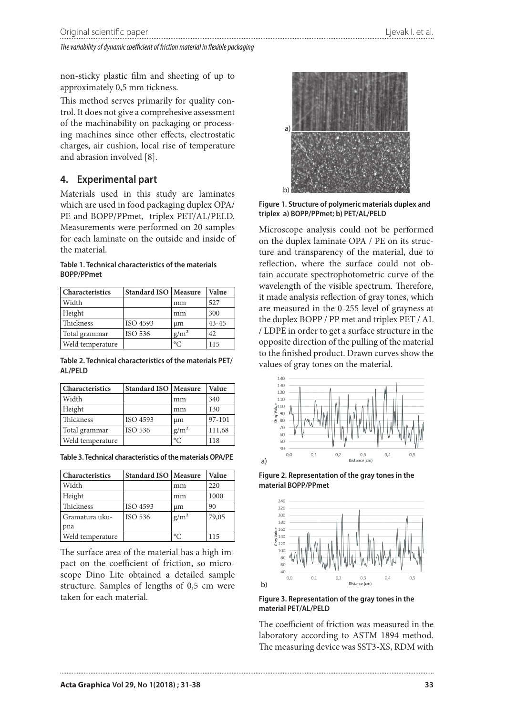*The variability of dynamic coefficient of friction material in flexible packaging*

This method serves primarily for quality control. It does not give a comprehesive assessment of the machinability on packaging or processing machines since other effects, electrostatic charges, air cushion, local rise of temperature and abrasion involved [8].

# **4. Experimental part**

Materials used in this study are laminates which are used in food packaging duplex OPA/ PE and BOPP/PPmet, triplex PET/AL/PELD. Measurements were performed on 20 samples for each laminate on the outside and inside of the material.

| Table 1. Technical characteristics of the materials |
|-----------------------------------------------------|
| <b>BOPP/PPmet</b>                                   |

| Characteristics  | <b>Standard ISO   Measure</b> |                 | Value     |
|------------------|-------------------------------|-----------------|-----------|
| Width            |                               | mm              | 527       |
| Height           |                               | mm              | 300       |
| Thickness        | ISO 4593                      | um              | $43 - 45$ |
| Total grammar    | ISO 536                       | $g/m^2$         | 42        |
| Weld temperature |                               | $\rm ^{\circ}C$ | 115       |

**Table 2. Technical characteristics of the materials PET/ AL/PELD**

| Characteristics  | <b>Standard ISO   Measure</b> |                  | Value  |
|------------------|-------------------------------|------------------|--------|
| Width            |                               | mm               | 340    |
| Height           |                               | mm               | 130    |
| Thickness        | ISO 4593                      | $\mu$ m          | 97-101 |
| Total grammar    | ISO 536                       | g/m <sup>2</sup> | 111,68 |
| Weld temperature |                               | $\rm ^{\circ}C$  | 118    |

| Table 3. Technical characteristics of the materials OPA/PE |  |
|------------------------------------------------------------|--|
|------------------------------------------------------------|--|

| <b>Characteristics</b> | <b>Standard ISO   Measure</b> |                  | Value |
|------------------------|-------------------------------|------------------|-------|
| Width                  |                               | mm               | 220   |
| Height                 |                               | mm               | 1000  |
| Thickness              | ISO 4593                      | $\mu$ m          | 90    |
| Gramatura uku-         | ISO 536                       | g/m <sup>2</sup> | 79,05 |
| pna                    |                               |                  |       |
| Weld temperature       |                               | $^{\circ}$ C     | 115   |

The surface area of the material has a high impact on the coefficient of friction, so microscope Dino Lite obtained a detailed sample structure. Samples of lengths of 0,5 cm were taken for each material.



**Figure 1. Structure of polymeric materials duplex and triplex a) BOPP/PPmet; b) PET/AL/PELD**

Microscope analysis could not be performed on the duplex laminate OPA / PE on its structure and transparency of the material, due to reflection, where the surface could not obtain accurate spectrophotometric curve of the wavelength of the visible spectrum. Therefore, it made analysis reflection of gray tones, which are measured in the 0-255 level of grayness at the duplex BOPP / PP met and triplex PET / AL / LDPE in order to get a surface structure in the opposite direction of the pulling of the material to the finished product. Drawn curves show the values of gray tones on the material.



**Figure 2. Representation of the gray tones in the material BOPP/PPmet**



**Figure 3. Representation of the gray tones in the material PET/AL/PELD**

The coefficient of friction was measured in the laboratory according to ASTM 1894 method. The measuring device was SST3-XS, RDM with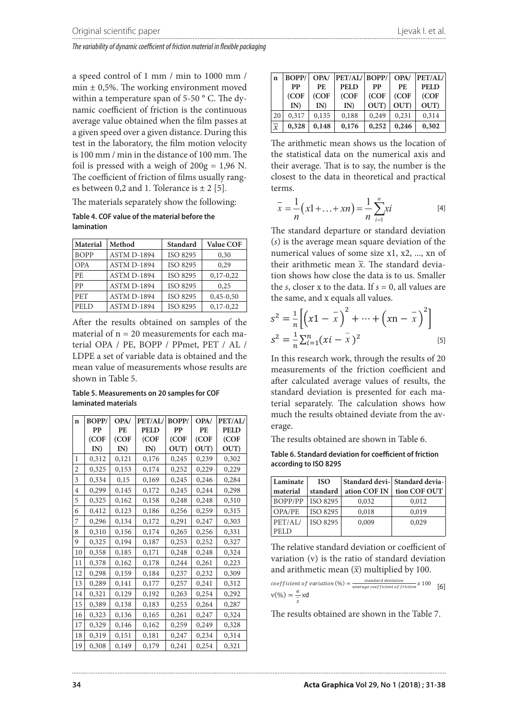a speed control of 1 mm / min to 1000 mm /  $min \pm 0.5$ %. The working environment moved within a temperature span of 5-50 ° C. The dynamic coefficient of friction is the continuous average value obtained when the film passes at a given speed over a given distance. During this test in the laboratory, the film motion velocity is 100 mm / min in the distance of 100 mm. The foil is pressed with a weigh of  $200g = 1,96$  N. The coefficient of friction of films usually ranges between 0,2 and 1. Tolerance is  $\pm 2$  [5].

The materials separately show the following:

#### **Table 4. COF value of the material before the lamination**

| <b>Material</b> | Method             | <b>Standard</b> | <b>Value COF</b> |
|-----------------|--------------------|-----------------|------------------|
| <b>BOPP</b>     | ASTM D-1894        | ISO 8295        | 0,30             |
| <b>OPA</b>      | ASTM D-1894        | <b>ISO 8295</b> | 0.29             |
| <b>PE</b>       | ASTM D-1894        | <b>ISO 8295</b> | $0,17-0,22$      |
| <b>PP</b>       | ASTM D-1894        | ISO 8295        | 0.25             |
| <b>PET</b>      | ASTM D-1894        | <b>ISO 8295</b> | $0,45-0,50$      |
| <b>PELD</b>     | <b>ASTM D-1894</b> | <b>ISO 8295</b> | $0,17-0,22$      |

After the results obtained on samples of the material of  $n = 20$  measurements for each material OPA / PE, BOPP / PPmet, PET / AL / LDPE a set of variable data is obtained and the mean value of measurements whose results are shown in Table 5.

#### **Table 5. Measurements on 20 samples for COF laminated materials**

| $\mathbf n$ | <b>BOPP/</b>  | OPA/      | PET/AL/     | <b>BOPP/</b> | <b>OPA</b> / | PET/AL/     |
|-------------|---------------|-----------|-------------|--------------|--------------|-------------|
|             | $\mathbf{PP}$ | <b>PE</b> | <b>PELD</b> | <b>PP</b>    | <b>PE</b>    | <b>PELD</b> |
|             | (COF          | (COF      | (COF)       | (COF)        | (COF         | (COF)       |
|             | IN)           | IN)       | IN)         | OUT)         | OUT)         | OUT)        |
| 1           | 0,312         | 0,121     | 0,176       | 0,245        | 0,239        | 0,302       |
| 2           | 0,325         | 0,153     | 0,174       | 0,252        | 0,229        | 0,229       |
| 3           | 0,334         | 0,15      | 0,169       | 0,245        | 0,246        | 0,284       |
| 4           | 0,299         | 0,145     | 0,172       | 0,245        | 0,244        | 0,298       |
| 5           | 0,325         | 0,162     | 0,158       | 0,248        | 0,248        | 0,310       |
| 6           | 0,412         | 0,123     | 0,186       | 0,256        | 0,259        | 0,315       |
| 7           | 0,296         | 0,134     | 0,172       | 0,291        | 0,247        | 0,303       |
| 8           | 0,310         | 0,156     | 0,174       | 0,265        | 0,256        | 0,331       |
| 9           | 0,325         | 0,194     | 0,187       | 0,253        | 0,252        | 0,327       |
| 10          | 0,358         | 0,185     | 0,171       | 0,248        | 0,248        | 0,324       |
| 11          | 0,378         | 0,162     | 0,178       | 0,244        | 0,261        | 0,223       |
| 12          | 0,298         | 0,159     | 0,184       | 0,237        | 0,232        | 0,309       |
| 13          | 0,289         | 0,141     | 0,177       | 0,257        | 0,241        | 0,312       |
| 14          | 0,321         | 0,129     | 0,192       | 0,263        | 0,254        | 0,292       |
| 15          | 0,389         | 0,138     | 0,183       | 0,253        | 0,264        | 0,287       |
| 16          | 0,323         | 0,136     | 0,165       | 0,261        | 0,247        | 0,324       |
| 17          | 0,329         | 0,146     | 0,162       | 0,259        | 0,249        | 0,328       |
| 18          | 0,319         | 0,151     | 0,181       | 0,247        | 0,234        | 0,314       |
| 19          | 0,308         | 0,149     | 0,179       | 0,241        | 0,254        | 0,321       |

| n              | <b>BOPP/</b> | OPA/  | <b>PET/AL/ BOPP/</b> |           | OPA/       | PET/AL/     |
|----------------|--------------|-------|----------------------|-----------|------------|-------------|
|                | <b>PP</b>    | PE.   | <b>PELD</b>          | <b>PP</b> | <b>PF</b>  | <b>PELD</b> |
|                | (COF)        | (COF) | (COF)                | (COF)     | (COF)      | (COF)       |
|                | IN)          | IN)   | IN)                  | OUT)      | <b>OUT</b> | OUT)        |
| 20             | 0.317        | 0,135 | 0,188                | 0,249     | 0,231      | 0,314       |
| $\overline{x}$ | 0,328        | 0,148 | 0,176                | 0,252     | 0,246      | 0,302       |

The arithmetic mean shows us the location of the statistical data on the numerical axis and their average. That is to say, the number is the closest to the data in theoretical and practical terms.

$$
\bar{x} = \frac{1}{n}(x_1 + \dots + x_n) = \frac{1}{n} \sum_{i=1}^{n} x_i
$$
 [4]

The standard departure or standard deviation (*s*) is the average mean square deviation of the numerical values of some size x1, x2, ..., xn of their arithmetic mean  $\bar{x}$ . The standard deviation shows how close the data is to us. Smaller the *s*, closer x to the data. If  $s = 0$ , all values are the same, and x equals all values.

$$
s^{2} = \frac{1}{n} \left[ \left( x1 - \bar{x} \right)^{2} + \dots + \left( xn - \bar{x} \right)^{2} \right]
$$
  

$$
s^{2} = \frac{1}{n} \sum_{i=1}^{n} (xi - \bar{x})^{2} \qquad [5]
$$

In this research work, through the results of 20 measurements of the friction coefficient and after calculated average values of results, the standard deviation is presented for each material separately. The calculation shows how much the results obtained deviate from the average.

The results obtained are shown in Table 6.

**Table 6. Standard deviation for coefficient of friction according to ISO 8295**

| Laminate | <b>ISO</b> |              | Standard devi- Standard devia- |
|----------|------------|--------------|--------------------------------|
| material | standard   | ation COF IN | tion COF OUT                   |
| BOPP/PP  | ISO 8295   | 0,032        | 0,012                          |
| OPA/PE   | ISO 8295   | 0,018        | 0.019                          |
| PET/AL/  | ISO 8295   | 0,009        | 0.029                          |
| PELD     |            |              |                                |

The relative standard deviation or coefficient of variation (v) is the ratio of standard deviation and arithmetic mean  $(\bar{x})$  multiplied by 100.

 $coefficient of variation (%) = \frac{\text{standard deviation}}{\text{average coefficient of friction}} x 100$  [6]  $v(\%) = \frac{\sigma}{x}xd$ 

The results obtained are shown in the Table 7.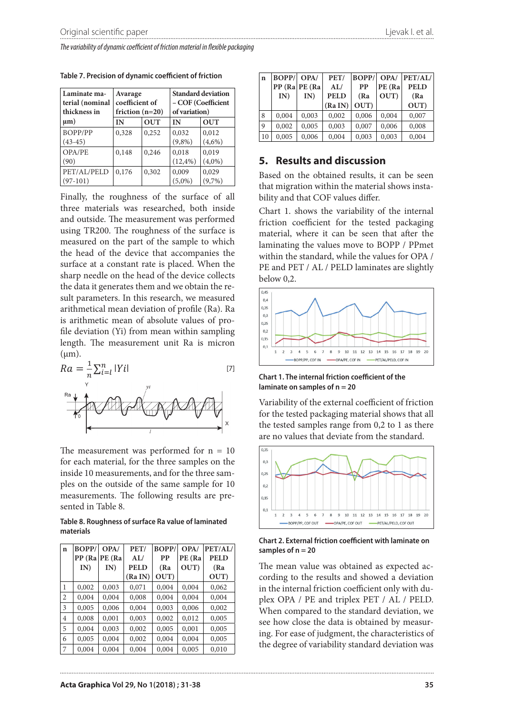*The variability of dynamic coefficient of friction material in flexible packaging*

| Laminate ma-<br>terial (nominal<br>thickness in | <b>Standard deviation</b><br>Avarage<br>coefficient of<br>- COF (Coefficient<br>of variation)<br>friction $(n=20)$ |       |             |            |
|-------------------------------------------------|--------------------------------------------------------------------------------------------------------------------|-------|-------------|------------|
| $\mu$ m)                                        | <b>OUT</b><br>IN                                                                                                   |       | IN          | <b>OUT</b> |
| <b>BOPP/PP</b>                                  | 0,328                                                                                                              | 0,252 | 0,032       | 0,012      |
| $(43-45)$                                       |                                                                                                                    |       | $(9,8\%)$   | $(4,6\%)$  |
| OPA/PE                                          | 0,148                                                                                                              | 0,246 | 0,018       | 0,019      |
| (90)                                            |                                                                                                                    |       | $(12, 4\%)$ | $(4,0\%)$  |
| PET/AL/PELD                                     | 0,176                                                                                                              | 0,302 | 0,009       | 0,029      |
| $(97-101)$                                      |                                                                                                                    |       | $(5,0\%)$   | $(9,7\%)$  |

**Table 7. Precision of dynamic coefficient of friction**

Finally, the roughness of the surface of all three materials was researched, both inside and outside. The measurement was performed using TR200. The roughness of the surface is measured on the part of the sample to which the head of the device that accompanies the surface at a constant rate is placed. When the sharp needle on the head of the device collects the data it generates them and we obtain the result parameters. In this research, we measured arithmetical mean deviation of profile (Ra). Ra is arithmetic mean of absolute values of profile deviation (Yi) from mean within sampling length. The measurement unit Ra is micron (μm).

$$
Ra = \frac{1}{n} \sum_{i=l}^{n} |Yi|
$$
\n<sup>17</sup>\n<sup>18</sup>\n<sup>19</sup>\n<sup>20</sup>\n<sup>21</sup>\n<sup>32</sup>\n<sup>33</sup>\n<sup>34</sup>\n<sup>35</sup>\n<sup>36</sup>\n<sup>37</sup>\n<sup>38</sup>\n<sup>39</sup>\n<sup>30</sup>\n<sup>30</sup>\n<sup>31</sup>\n<sup>32</sup>\n<sup>34</sup>\n<sup>35</sup>\n<sup>36</sup>\n<sup>36</sup>\n<sup>37</sup>\n<sup>38</sup>\n $\times$ 

The measurement was performed for  $n = 10$ for each material, for the three samples on the inside 10 measurements, and for the three samples on the outside of the same sample for 10 measurements. The following results are presented in Table 8.

**Table 8. Roughness of surface Ra value of laminated materials**

| n              | <b>BOPP/</b> | OPA/   | PET/        | <b>BOPP/</b> | OPA/   | PET/AL/     |
|----------------|--------------|--------|-------------|--------------|--------|-------------|
|                | PP (Ra       | PE (Ra | AL/         | <b>PP</b>    | PE (Ra | <b>PELD</b> |
|                | IN)          | IN)    | <b>PELD</b> | (Ra)         | OUT)   | (Ra         |
|                |              |        | (Ra IN)     | OUT)         |        | OUT)        |
| 1              | 0,002        | 0,003  | 0,071       | 0,004        | 0,004  | 0,062       |
| $\overline{c}$ | 0,004        | 0,004  | 0,008       | 0,004        | 0,004  | 0,004       |
| 3              | 0,005        | 0,006  | 0,004       | 0,003        | 0,006  | 0,002       |
| 4              | 0,008        | 0,001  | 0,003       | 0,002        | 0,012  | 0,005       |
| 5              | 0,004        | 0,003  | 0,002       | 0,005        | 0,001  | 0,005       |
| 6              | 0,005        | 0,004  | 0,002       | 0,004        | 0,004  | 0,005       |
| 7              | 0,004        | 0,004  | 0,004       | 0,004        | 0,005  | 0,010       |

| n  | BOPP/<br>IN) | OPA/<br>PP (Ra   PE (Ra<br>IN) | PET/<br>AL/<br><b>PELD</b> | BOPP/<br>PP<br>(Ra | OPA/<br>PE (Ra<br>OUT) | PET/AL/<br><b>PELD</b><br>(Ra) |
|----|--------------|--------------------------------|----------------------------|--------------------|------------------------|--------------------------------|
|    |              |                                | (Ra IN)                    | OUT)               |                        | OUT)                           |
| 8  | 0,004        | 0,003                          | 0,002                      | 0,006              | 0,004                  | 0,007                          |
| 9  | 0,002        | 0,005                          | 0,003                      | 0,007              | 0,006                  | 0,008                          |
| 10 | 0,005        | 0,006                          | 0,004                      | 0,003              | 0,003                  | 0,004                          |

### **5. Results and discussion**

Based on the obtained results, it can be seen that migration within the material shows instability and that COF values differ.

Chart 1. shows the variability of the internal friction coefficient for the tested packaging material, where it can be seen that after the laminating the values move to BOPP / PPmet within the standard, while the values for OPA / PE and PET / AL / PELD laminates are slightly below 0,2.



**Chart 1. The internal friction coefficient of the laminate on samples of n = 20**

Variability of the external coefficient of friction for the tested packaging material shows that all the tested samples range from 0,2 to 1 as there are no values that deviate from the standard.



**Chart 2. External friction coefficient with laminate on samples of n = 20**

The mean value was obtained as expected according to the results and showed a deviation in the internal friction coefficient only with duplex OPA / PE and triplex PET / AL / PELD. When compared to the standard deviation, we see how close the data is obtained by measuring. For ease of judgment, the characteristics of the degree of variability standard deviation was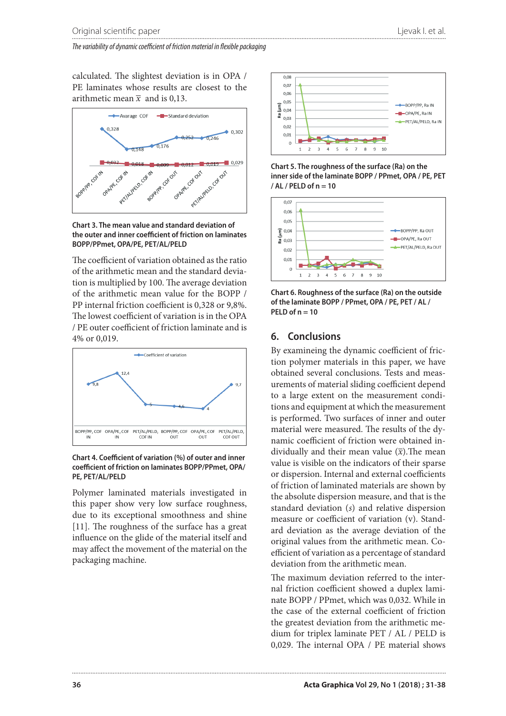calculated. The slightest deviation is in OPA / PE laminates whose results are closest to the arithmetic mean  $\bar{x}$  and is 0.13.



**Chart 3. The mean value and standard deviation of the outer and inner coefficient of friction on laminates BOPP/PPmet, OPA/PE, PET/AL/PELD**

The coefficient of variation obtained as the ratio of the arithmetic mean and the standard deviation is multiplied by 100. The average deviation of the arithmetic mean value for the BOPP / PP internal friction coefficient is 0,328 or 9,8%. The lowest coefficient of variation is in the OPA / PE outer coefficient of friction laminate and is 4% or 0,019.



**Chart 4. Coefficient of variation (%) of outer and inner coefficient of friction on laminates BOPP/PPmet, OPA/ PE, PET/AL/PELD**

Polymer laminated materials investigated in this paper show very low surface roughness, due to its exceptional smoothness and shine [11]. The roughness of the surface has a great influence on the glide of the material itself and may affect the movement of the material on the packaging machine.



**Chart 5. The roughness of the surface (Ra) on the inner side of the laminate BOPP / PPmet, OPA / PE, PET / AL / PELD of n = 10**



**Chart 6. Roughness of the surface (Ra) on the outside of the laminate BOPP / PPmet, OPA / PE, PET / AL / PELD of n = 10**

# **6. Conclusions**

By examineing the dynamic coefficient of friction polymer materials in this paper, we have obtained several conclusions. Tests and measurements of material sliding coefficient depend to a large extent on the measurement conditions and equipment at which the measurement is performed. Two surfaces of inner and outer material were measured. The results of the dynamic coefficient of friction were obtained individually and their mean value  $(\bar{x})$ . The mean value is visible on the indicators of their sparse or dispersion. Internal and external coefficients of friction of laminated materials are shown by the absolute dispersion measure, and that is the standard deviation (*s*) and relative dispersion measure or coefficient of variation (v). Standard deviation as the average deviation of the original values from the arithmetic mean. Coefficient of variation as a percentage of standard deviation from the arithmetic mean.

The maximum deviation referred to the internal friction coefficient showed a duplex laminate BOPP / PPmet, which was 0,032. While in the case of the external coefficient of friction the greatest deviation from the arithmetic medium for triplex laminate PET / AL / PELD is 0,029. The internal OPA / PE material shows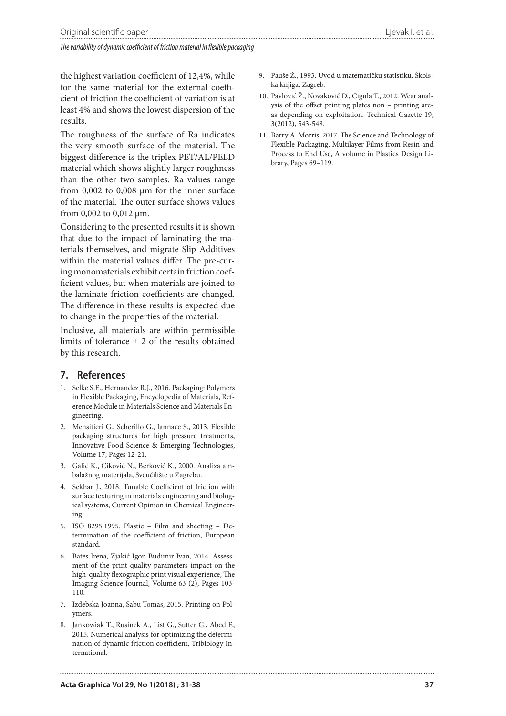*The variability of dynamic coefficient of friction material in flexible packaging*

the highest variation coefficient of 12,4%, while for the same material for the external coefficient of friction the coefficient of variation is at least 4% and shows the lowest dispersion of the results.

The roughness of the surface of Ra indicates the very smooth surface of the material. The biggest difference is the triplex PET/AL/PELD material which shows slightly larger roughness than the other two samples. Ra values range from 0,002 to 0,008 μm for the inner surface of the material. The outer surface shows values from 0,002 to 0,012 μm.

Considering to the presented results it is shown that due to the impact of laminating the materials themselves, and migrate Slip Additives within the material values differ. The pre-curing monomaterials exhibit certain friction coefficient values, but when materials are joined to the laminate friction coefficients are changed. The difference in these results is expected due to change in the properties of the material.

Inclusive, all materials are within permissible limits of tolerance  $\pm 2$  of the results obtained by this research.

#### **7. References**

- 1. Selke S.E., Hernandez R.J., 2016. Packaging: Polymers in Flexible Packaging, Encyclopedia of Materials, Reference Module in Materials Science and Materials Engineering.
- 2. Mensitieri G., Scherillo G., Iannace S., 2013. Flexible packaging structures for high pressure treatments, Innovative Food Science & Emerging Technologies, Volume 17, Pages 12-21.
- 3. Galić K., Ciković N., Berković K., 2000. Analiza ambalažnog materijala, Sveučilište u Zagrebu.
- 4. Sekhar J., 2018. Tunable Coefficient of friction with surface texturing in materials engineering and biological systems, Current Opinion in Chemical Engineering.
- 5. ISO 8295:1995. Plastic Film and sheeting Determination of the coefficient of friction, European standard.
- 6. Bates Irena, Zjakić Igor, Budimir Ivan, 2014. Assessment of the print quality parameters impact on the high-quality flexographic print visual experience, The Imaging Science Journal, Volume 63 (2), Pages 103- 110.
- 7. Izdebska Joanna, Sabu Tomas, 2015. Printing on Polymers.
- 8. Jankowiak T., Rusinek A., List G., Sutter G., Abed F., 2015. Numerical analysis for optimizing the determination of dynamic friction coefficient, Tribiology International.
- 9. Pauše Ž., 1993. Uvod u matematičku statistiku. Školska knjiga, Zagreb.
- 10. Pavlović Ž., Novaković D., Cigula T., 2012. Wear analysis of the offset printing plates non – printing areas depending on exploitation. Technical Gazette 19, 3(2012), 543-548.
- 11. Barry A. Morris, 2017. The Science and Technology of Flexible Packaging, Multilayer Films from Resin and Process to End Use, A volume in Plastics Design Library, Pages 69–119.